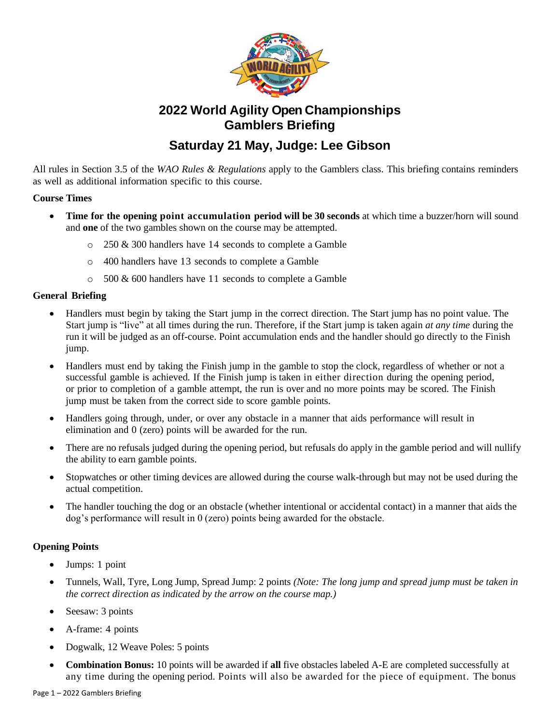

# **2022 World Agility Open Championships Gamblers Briefing**

## **Saturday 21 May, Judge: Lee Gibson**

All rules in Section 3.5 of the *WAO Rules & Regulations* apply to the Gamblers class. This briefing contains reminders as well as additional information specific to this course.

### **Course Times**

- **Time for the opening point accumulation period will be 30 seconds** at which time a buzzer/horn will sound and **one** of the two gambles shown on the course may be attempted.
	- o 250 & 300 handlers have 14 seconds to complete a Gamble
	- o 400 handlers have 13 seconds to complete a Gamble
	- o 500 & 600 handlers have 11 seconds to complete a Gamble

## **General Briefing**

- Handlers must begin by taking the Start jump in the correct direction. The Start jump has no point value. The Start jump is "live" at all times during the run. Therefore, if the Start jump is taken again *at any time* during the run it will be judged as an off-course. Point accumulation ends and the handler should go directly to the Finish jump.
- Handlers must end by taking the Finish jump in the gamble to stop the clock, regardless of whether or not a successful gamble is achieved. If the Finish jump is taken in either direction during the opening period, or prior to completion of a gamble attempt, the run is over and no more points may be scored. The Finish jump must be taken from the correct side to score gamble points.
- Handlers going through, under, or over any obstacle in a manner that aids performance will result in elimination and 0 (zero) points will be awarded for the run.
- There are no refusals judged during the opening period, but refusals do apply in the gamble period and will nullify the ability to earn gamble points.
- Stopwatches or other timing devices are allowed during the course walk-through but may not be used during the actual competition.
- The handler touching the dog or an obstacle (whether intentional or accidental contact) in a manner that aids the dog's performance will result in 0 (zero) points being awarded for the obstacle.

## **Opening Points**

- Jumps: 1 point
- Tunnels, Wall, Tyre, Long Jump, Spread Jump: 2 points *(Note: The long jump and spread jump must be taken in the correct direction as indicated by the arrow on the course map.)*
- Seesaw: 3 points
- A-frame: 4 points
- Dogwalk, 12 Weave Poles: 5 points
- **Combination Bonus:** 10 points will be awarded if **all** five obstacles labeled A-E are completed successfully at any time during the opening period. Points will also be awarded for the piece of equipment. The bonus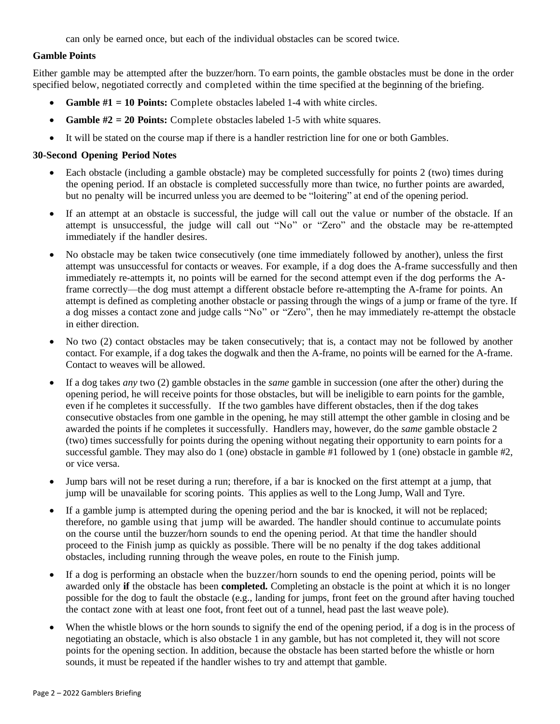can only be earned once, but each of the individual obstacles can be scored twice.

#### **Gamble Points**

Either gamble may be attempted after the buzzer/horn. To earn points, the gamble obstacles must be done in the order specified below, negotiated correctly and completed within the time specified at the beginning of the briefing.

- **Gamble #1 = 10 Points:** Complete obstacles labeled 1-4 with white circles.
- **Gamble #2 = 20 Points:** Complete obstacles labeled 1-5 with white squares.
- It will be stated on the course map if there is a handler restriction line for one or both Gambles.

#### **30-Second Opening Period Notes**

- Each obstacle (including a gamble obstacle) may be completed successfully for points 2 (two) times during the opening period. If an obstacle is completed successfully more than twice, no further points are awarded, but no penalty will be incurred unless you are deemed to be "loitering" at end of the opening period.
- If an attempt at an obstacle is successful, the judge will call out the value or number of the obstacle. If an attempt is unsuccessful, the judge will call out "No" or "Zero" and the obstacle may be re-attempted immediately if the handler desires.
- No obstacle may be taken twice consecutively (one time immediately followed by another), unless the first attempt was unsuccessful for contacts or weaves. For example, if a dog does the A-frame successfully and then immediately re-attempts it, no points will be earned for the second attempt even if the dog performs the Aframe correctly—the dog must attempt a different obstacle before re-attempting the A-frame for points. An attempt is defined as completing another obstacle or passing through the wings of a jump or frame of the tyre. If a dog misses a contact zone and judge calls "No" or "Zero", then he may immediately re-attempt the obstacle in either direction.
- No two (2) contact obstacles may be taken consecutively; that is, a contact may not be followed by another contact. For example, if a dog takes the dogwalk and then the A-frame, no points will be earned for the A-frame. Contact to weaves will be allowed.
- If a dog takes *any* two (2) gamble obstacles in the *same* gamble in succession (one after the other) during the opening period, he will receive points for those obstacles, but will be ineligible to earn points for the gamble, even if he completes it successfully. If the two gambles have different obstacles, then if the dog takes consecutive obstacles from one gamble in the opening, he may still attempt the other gamble in closing and be awarded the points if he completes it successfully. Handlers may, however, do the *same* gamble obstacle 2 (two) times successfully for points during the opening without negating their opportunity to earn points for a successful gamble. They may also do 1 (one) obstacle in gamble #1 followed by 1 (one) obstacle in gamble #2, or vice versa.
- Jump bars will not be reset during a run; therefore, if a bar is knocked on the first attempt at a jump, that jump will be unavailable for scoring points. This applies as well to the Long Jump, Wall and Tyre.
- If a gamble jump is attempted during the opening period and the bar is knocked, it will not be replaced; therefore, no gamble using that jump will be awarded. The handler should continue to accumulate points on the course until the buzzer/horn sounds to end the opening period. At that time the handler should proceed to the Finish jump as quickly as possible. There will be no penalty if the dog takes additional obstacles, including running through the weave poles, en route to the Finish jump.
- If a dog is performing an obstacle when the buzzer/horn sounds to end the opening period, points will be awarded only **if** the obstacle has been **completed.** Completing an obstacle is the point at which it is no longer possible for the dog to fault the obstacle (e.g., landing for jumps, front feet on the ground after having touched the contact zone with at least one foot, front feet out of a tunnel, head past the last weave pole).
- When the whistle blows or the horn sounds to signify the end of the opening period, if a dog is in the process of negotiating an obstacle, which is also obstacle 1 in any gamble, but has not completed it, they will not score points for the opening section. In addition, because the obstacle has been started before the whistle or horn sounds, it must be repeated if the handler wishes to try and attempt that gamble.